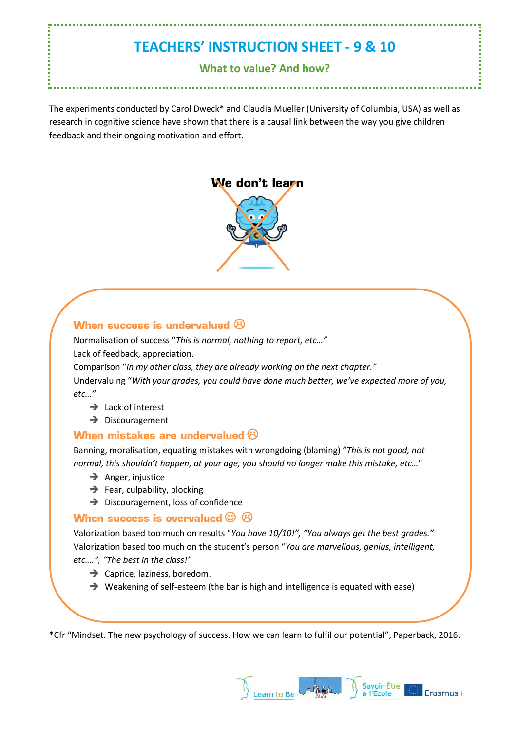# **TEACHERS' INSTRUCTION SHEET - 9 & 10**

### **What to value? And how?**

The experiments conducted by Carol Dweck\* and Claudia Mueller (University of Columbia, USA) as well as research in cognitive science have shown that there is a causal link between the way you give children feedback and their ongoing motivation and effort.



### **When success is undervalued**  $\odot$

Normalisation of success "*This is normal, nothing to report, etc…"* Lack of feedback, appreciation.

Comparison "*In my other class, they are already working on the next chapter."* Undervaluing "*With your grades, you could have done much better, we've expected more of you, etc…"*

- $\rightarrow$  Lack of interest
- **→** Discouragement

### **When mistakes are undervalued**

Banning, moralisation, equating mistakes with wrongdoing (blaming) "*This is not good, not normal, this shouldn't happen, at your age, you should no longer make this mistake, etc…*"

- $\rightarrow$  Anger, injustice
- $\rightarrow$  Fear, culpability, blocking
- ➔ Discouragement, loss of confidence

### **When success is overvalued**  $\heartsuit$   $\heartsuit$

Valorization based too much on results "*You have 10/10!", "You always get the best grades."* Valorization based too much on the student's person "*You are marvellous, genius, intelligent, etc….", "The best in the class!"*

- **→** Caprice, laziness, boredom.
- ➔ Weakening of self-esteem (the bar is high and intelligence is equated with ease)

\*Cfr "Mindset. The new psychology of success. How we can learn to fulfil our potential", Paperback, 2016.